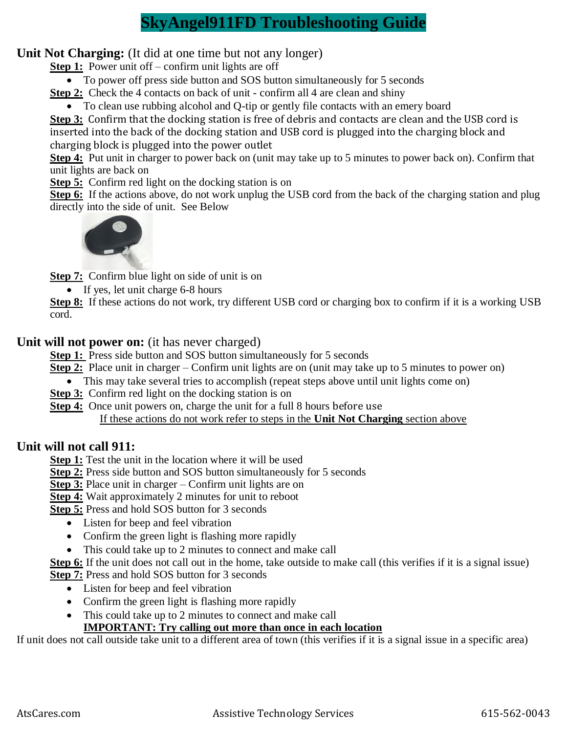# **SkyAngel911FD Troubleshooting Guide**

## **Unit Not Charging:** (It did at one time but not any longer)

**Step 1:** Power unit off – confirm unit lights are off

• To power off press side button and SOS button simultaneously for 5 seconds

**Step 2:** Check the 4 contacts on back of unit - confirm all 4 are clean and shiny

• To clean use rubbing alcohol and Q-tip or gently file contacts with an emery board

**Step 3:** Confirm that the docking station is free of debris and contacts are clean and the USB cord is inserted into the back of the docking station and USB cord is plugged into the charging block and charging block is plugged into the power outlet

**Step 4:** Put unit in charger to power back on (unit may take up to 5 minutes to power back on). Confirm that unit lights are back on

**Step 5:** Confirm red light on the docking station is on

**Step 6:** If the actions above, do not work unplug the USB cord from the back of the charging station and plug directly into the side of unit. See Below



**Step 7:** Confirm blue light on side of unit is on

• If yes, let unit charge 6-8 hours

**Step 8:** If these actions do not work, try different USB cord or charging box to confirm if it is a working USB cord.

## **Unit will not power on:** (it has never charged)

**Step 1:** Press side button and SOS button simultaneously for 5 seconds

**Step 2:** Place unit in charger – Confirm unit lights are on (unit may take up to 5 minutes to power on)

- This may take several tries to accomplish (repeat steps above until unit lights come on)
- **Step 3:** Confirm red light on the docking station is on
- **Step 4:** Once unit powers on, charge the unit for a full 8 hours before use

If these actions do not work refer to steps in the **Unit Not Charging** section above

## **Unit will not call 911:**

**Step 1:** Test the unit in the location where it will be used

**Step 2:** Press side button and SOS button simultaneously for 5 seconds

**Step 3:** Place unit in charger – Confirm unit lights are on

**Step 4:** Wait approximately 2 minutes for unit to reboot

**Step 5:** Press and hold SOS button for 3 seconds

- Listen for beep and feel vibration
- Confirm the green light is flashing more rapidly
- This could take up to 2 minutes to connect and make call

**Step 6:** If the unit does not call out in the home, take outside to make call (this verifies if it is a signal issue) **Step 7:** Press and hold SOS button for 3 seconds

- Listen for beep and feel vibration
- Confirm the green light is flashing more rapidly
- This could take up to 2 minutes to connect and make call

## **IMPORTANT: Try calling out more than once in each location**

If unit does not call outside take unit to a different area of town (this verifies if it is a signal issue in a specific area)